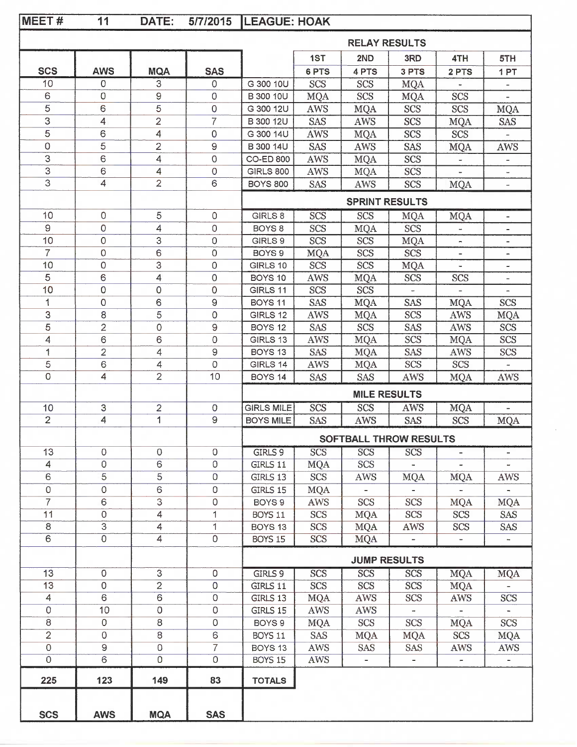| MEET#               | 11                        | DATE:                   | 5/7/2015            | <b>LEAGUE: HOAK</b> |                        |                       |                          |            |                              |
|---------------------|---------------------------|-------------------------|---------------------|---------------------|------------------------|-----------------------|--------------------------|------------|------------------------------|
|                     |                           |                         |                     |                     |                        | <b>RELAY RESULTS</b>  |                          |            |                              |
|                     |                           |                         |                     |                     | 1ST                    | 2ND                   | 3RD                      | 4TH        | 5TH                          |
| <b>SCS</b>          | <b>AWS</b>                | <b>MQA</b>              | <b>SAS</b>          |                     | 6 PTS                  | 4 PTS                 | 3 PTS                    | 2 PTS      | 1PT                          |
| 10                  | 0                         | 3                       | 0                   | G 300 10U           | <b>SCS</b>             | <b>SCS</b>            | <b>MQA</b>               |            | $\qquad \qquad \blacksquare$ |
| 6                   | 0                         | $\hbox{ }^{\rm 9}$      | $\mathbf 0$         | <b>B</b> 300 10U    | <b>MQA</b>             | SCS                   | <b>MQA</b>               | <b>SCS</b> |                              |
| 5                   | 6                         | 5                       | $\overline{0}$      | G 300 12U           | <b>AWS</b>             | <b>MQA</b>            | <b>SCS</b>               | <b>SCS</b> | <b>MQA</b>                   |
| 3                   | 4                         | $\overline{2}$          | $\overline{7}$      | <b>B</b> 300 12U    | <b>SAS</b>             | <b>AWS</b>            | <b>SCS</b>               | <b>MQA</b> | <b>SAS</b>                   |
| 5                   | 6                         | 4                       | 0                   | G 300 14U           | <b>AWS</b>             | <b>MQA</b>            | <b>SCS</b>               | <b>SCS</b> |                              |
| 0                   | 5                         | $\overline{2}$          | 9                   | B 300 14U           | <b>SAS</b>             | <b>AWS</b>            | <b>SAS</b>               | <b>MQA</b> | <b>AWS</b>                   |
| 3                   | 6                         | $\overline{4}$          | $\mathbf 0$         | <b>CO-ED 800</b>    | <b>AWS</b>             | <b>MQA</b>            | SCS                      |            |                              |
| 3                   | 6                         | 4                       | 0                   | <b>GIRLS 800</b>    | <b>AWS</b>             | <b>MQA</b>            | SCS                      |            |                              |
| 3                   | 4                         | $\overline{2}$          | 6                   | <b>BOYS 800</b>     | <b>SAS</b>             | <b>AWS</b>            | <b>SCS</b>               | <b>MQA</b> |                              |
|                     |                           |                         |                     |                     |                        | <b>SPRINT RESULTS</b> |                          |            |                              |
| 10                  | 0                         | 5                       | 0                   | GIRLS 8             | <b>SCS</b>             | <b>SCS</b>            | <b>MQA</b>               | <b>MQA</b> |                              |
| 9                   | 0                         | $\overline{4}$          | 0                   | BOYS <sub>8</sub>   | <b>SCS</b>             | <b>MQA</b>            | <b>SCS</b>               |            |                              |
| 10                  | 0                         | 3                       | 0                   | GIRLS 9             | SCS                    | SCS                   | <b>MQA</b>               |            |                              |
| 7                   | 0                         | 6                       | $\mathbf 0$         | BOYS <sub>9</sub>   | <b>MQA</b>             | <b>SCS</b>            | SCS                      | ÷          |                              |
| 10                  | O                         | 3                       | 0                   | GIRLS 10            | SCS                    | <b>SCS</b>            | <b>MQA</b>               |            | $\overline{\phantom{0}}$     |
| 5                   | 6                         | $\overline{\mathbf{4}}$ | 0                   | BOYS <sub>10</sub>  | AWS                    | <b>MQA</b>            | SCS                      | <b>SCS</b> | $\overline{\phantom{a}}$     |
| 10                  | 0                         | $\mathbf 0$             | 0                   | GIRLS 11            | <b>SCS</b>             | <b>SCS</b>            |                          | ÷.         |                              |
| 1                   | 0                         | 6                       | 9                   | <b>BOYS 11</b>      | <b>SAS</b>             | <b>MQA</b>            | SAS                      | <b>MQA</b> | <b>SCS</b>                   |
| 3                   | 8                         | 5                       | $\mathsf{O}\xspace$ | GIRLS 12            | AWS                    | <b>MQA</b>            | <b>SCS</b>               | AWS        | <b>MQA</b>                   |
| 5                   | $\overline{2}$            | $\circ$                 | 9                   | BOYS <sub>12</sub>  | <b>SAS</b>             | <b>SCS</b>            | SAS                      | <b>AWS</b> | <b>SCS</b>                   |
| 4                   | 6                         | 6                       | 0                   | GIRLS 13            | AWS                    | <b>MQA</b>            | SCS                      | <b>MQA</b> | <b>SCS</b>                   |
| 1                   | $\overline{2}$            | 4                       | 9                   | BOYS <sub>13</sub>  | SAS                    | <b>MQA</b>            | SAS                      | <b>AWS</b> | SCS                          |
| 5                   | 6                         | 4                       | 0                   | GIRLS 14            | AWS                    | <b>MQA</b>            | <b>SCS</b>               | <b>SCS</b> |                              |
| 0                   | 4                         | 2                       | 10                  | BOYS <sub>14</sub>  | <b>SAS</b>             | SAS                   | AWS                      | <b>MQA</b> | AWS                          |
|                     |                           |                         |                     |                     | <b>MILE RESULTS</b>    |                       |                          |            |                              |
| 10                  | $\ensuremath{\mathsf{3}}$ | 2                       | 0                   | <b>GIRLS MILE</b>   | <b>SCS</b>             | <b>SCS</b>            | <b>AWS</b>               | <b>MQA</b> |                              |
| $\overline{2}$      | 4                         | 1                       | 9                   | <b>BOYS MILE</b>    | <b>SAS</b>             | <b>AWS</b>            | <b>SAS</b>               | <b>SCS</b> | <b>MQA</b>                   |
|                     |                           |                         |                     |                     | SOFTBALL THROW RESULTS |                       |                          |            |                              |
| 13                  | $\mathbf 0$               | $\mathbf 0$             | $\mathsf{O}\xspace$ | GIRLS 9             | SCS                    | SCS                   | <b>SCS</b>               | -          |                              |
| 4                   | $\mathsf{O}\xspace$       | 6                       | $\mathsf{O}\xspace$ | GIRLS 11            | <b>MQA</b>             | <b>SCS</b>            |                          |            |                              |
| 6                   | 5                         | 5                       | $\mathbf 0$         | GIRLS 13            | <b>SCS</b>             | <b>AWS</b>            | <b>MQA</b>               | <b>MQA</b> | <b>AWS</b>                   |
| $\mathsf{O}\xspace$ | $\mathsf O$               | 6                       | $\mathsf O$         | GIRLS 15            | <b>MQA</b>             |                       |                          |            |                              |
| 7                   | $\mathsf 6$               | 3                       | $\mathsf O$         | BOYS <sub>9</sub>   | AWS                    | <b>SCS</b>            | <b>SCS</b>               | <b>MQA</b> | <b>MQA</b>                   |
| 11                  | $\mathsf{O}\xspace$       | 4                       | 1                   | BOYS 11             | <b>SCS</b>             | <b>MQA</b>            | <b>SCS</b>               | <b>SCS</b> | SAS                          |
| 8                   | $\overline{3}$            | 4                       | 1                   | BOYS <sub>13</sub>  | <b>SCS</b>             | <b>MQA</b>            | AWS                      | <b>SCS</b> | <b>SAS</b>                   |
| $\overline{6}$      | $\overline{0}$            | $\overline{4}$          | $\overline{0}$      | <b>BOYS 15</b>      | $\overline{SCS}$       | <b>MQA</b>            | $\overline{\phantom{a}}$ |            | $\overline{\phantom{a}}$     |
|                     |                           |                         |                     |                     |                        | <b>JUMP RESULTS</b>   |                          |            |                              |
| 13                  | $\overline{0}$            | $\overline{3}$          | $\mathsf{O}\xspace$ | GIRLS 9             | SCS                    | <b>SCS</b>            | SCS                      | <b>MQA</b> | <b>MQA</b>                   |
| 13                  | $\overline{0}$            | $\overline{2}$          | $\mathbf 0$         | GIRLS 11            | <b>SCS</b>             | <b>SCS</b>            | <b>SCS</b>               | <b>MQA</b> |                              |
| $\overline{4}$      | 6                         | $\overline{6}$          | $\overline{0}$      | GIRLS 13            | <b>MQA</b>             | AWS                   | <b>SCS</b>               | AWS        | SCS                          |
| $\mathsf{O}\xspace$ | 10                        | $\mathsf{O}\xspace$     | $\mathsf{O}\xspace$ | GIRLS 15            | AWS                    | <b>AWS</b>            | $\overline{\phantom{a}}$ |            |                              |
| $\,8\,$             | $\mathsf{O}\xspace$       | 8                       | $\mathbf 0$         | BOYS <sub>9</sub>   | <b>MQA</b>             | <b>SCS</b>            | <b>SCS</b>               | <b>MQA</b> | SCS                          |
| $\overline{2}$      | $\mathsf{O}\xspace$       | 8                       | $\mathbf 6$         | <b>BOYS 11</b>      | SAS                    | <b>MQA</b>            | <b>MQA</b>               | <b>SCS</b> | <b>MQA</b>                   |
| $\mathbf 0$         | $\overline{9}$            | 0                       | $\overline{7}$      | BOYS 13             | AWS                    | <b>SAS</b>            | <b>SAS</b>               | AWS        | <b>AWS</b>                   |
| $\overline{0}$      | $\overline{6}$            | Ò                       | $\overline{0}$      | <b>BOYS 15</b>      | AWS                    |                       |                          |            |                              |
| 225                 | 123                       | 149                     | 83                  | <b>TOTALS</b>       |                        |                       |                          |            |                              |
|                     |                           |                         |                     |                     |                        |                       |                          |            |                              |
|                     |                           |                         |                     |                     |                        |                       |                          |            |                              |
| <b>SCS</b>          | <b>AWS</b>                | <b>MQA</b>              | <b>SAS</b>          |                     |                        |                       |                          |            |                              |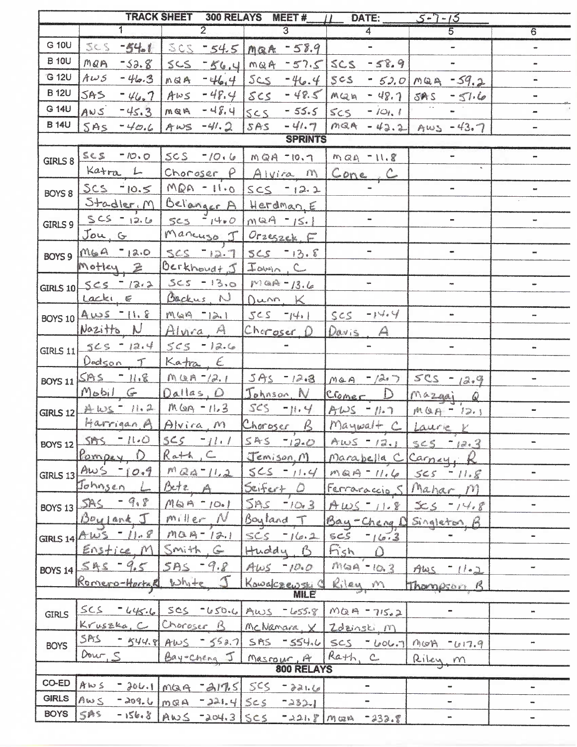|                   |                         | <b>TRACK SHEET</b>        | 300 RELAYS MEET #          | DATE:<br>11             | $5 - 7 - 15$                 |                              |
|-------------------|-------------------------|---------------------------|----------------------------|-------------------------|------------------------------|------------------------------|
|                   | 1                       | $\overline{2}$            | 3                          | 4                       | $5\overline{)}$              | 6                            |
| G 10U             | <b>Allen</b><br>$-54.1$ | SCS<br>$-54.5$            | $\n  max - 58.9\n$         | $\blacksquare$          | $\overline{\phantom{0}}$     | w                            |
| <b>B</b> 10U      | MQA<br>$-52.8$          | SCS<br>$-56.4$            | $-57.5$<br>MQA             | $-58.9$<br>SCS          | me.                          |                              |
| G 12U             | $A\omega$ 5<br>$-46.3$  | $-46,4$<br>MQA            | 5c <sub>5</sub><br>$-46.4$ | SCS<br>$-52.0$          | $maa - 59.2$                 | m                            |
| <b>B</b> 12U      | <b>SAS</b><br>$-46.7$   | $-48.4$<br>Aws            | $-48.5$<br>SCS             | $-48.7$<br>Mlan         | SAS.<br>$-51.6$              |                              |
| G 14U             | AWS<br>$-45.3$          | $-48.4$<br>MQA            | $-55.5$<br>555             | SCS<br>$-101.1$         |                              |                              |
| <b>B 14U</b>      | SAS<br>$-40.6$          | $-41.2$<br>AWS            | $-41.7$<br><b>SAS</b>      | $maA - 42.2$            | $Aws - 43.7$                 |                              |
|                   |                         |                           | <b>SPRINTS</b>             |                         |                              |                              |
| GIRLS 8           | 5.32<br>$-10.0$         | $SCS = 10.6$              | $MQR = 10.7$               | $MQR - 11.8$            |                              |                              |
|                   | Katra L                 | $Choroser$ $P$            | Alvira M                   | Cone. C                 |                              |                              |
|                   | $SCS = 10.5$            | $MQR - H.0$               | $SCS = 12.2$               |                         |                              |                              |
| BOYS <sub>8</sub> | Stadler, M              |                           | Bellanger A Herdman, E     |                         |                              |                              |
|                   | $SCS = 12.6$            | $5C5 - 1400$              | $mQA - 15.$                | ÷.                      | $\overline{\phantom{m}}$     |                              |
| GIRLS 9           | Jou, G                  | Maneuso J                 |                            |                         |                              |                              |
|                   | $MBA = 12.0$            |                           | $Orzeszck$ , $F$           | $\rightarrow$           |                              |                              |
| BOYS <sub>9</sub> |                         | $SCS - 12.7$              | $SCS = 13.8$               |                         |                              |                              |
|                   | Motley 2                | Berkhouat. J              | Iovin, C                   |                         |                              |                              |
|                   | GIRLS 10 5 $CS = 12.2$  | $565 - 13.0$              | $M = 13.6$                 | $\mathbf{m}$ .          | aşı,                         | ÷                            |
|                   | $Lack: \in$             | Backus, N                 | Dunn, K                    |                         |                              |                              |
| <b>BOYS 10</b>    | AWS - 11.8              | MGA 721                   | $5CS -14.1$                | $-14.4$<br>SCS          |                              |                              |
|                   | $Na2$ itto $N$          | Alvira A                  | Charoser D                 | Davis<br>A              |                              |                              |
| $GIRLS$ 11        | $565 - 12.4$            | $SCS = 12.6$              |                            |                         | œ                            |                              |
|                   | Dodson<br>$\tau$        | Katra E                   |                            |                         |                              |                              |
| <b>BOYS 11</b>    | $SBS - 11.8$            | MQA 72.1                  | $JAS = 12.3$               | $MQA =  A $             | $505 - 12.9$                 | $\blacksquare$               |
|                   | Mobil G                 | Dallas, D                 | Johnson, N                 | $\mathbb D$<br>Cromer   | Mazaai<br>$\mathcal{Q}$      |                              |
| GIRLS $12$        | ALS-11.2                | $M(99 - 11.3)$            | $SCS - 11.4$               | AWS<br>$71-7$           | $MQR = 12.1$                 | $\overline{\phantom{a}}$     |
|                   | Harrigan A              | Alvira, M                 | Choroser B                 | Maywalt C               | Laurie Y                     |                              |
| <b>BOYS 12</b>    | SAS<br>$-1110$          | $565 - 11.1$              | $SAS = 12.0$               | AWS - 12.1              | $565 - 12.3$                 | $\qquad \qquad \blacksquare$ |
|                   | Pompey<br>1)            | $Ra+h$ , $C$              | Jemison M                  | Marabella C Carney,     |                              |                              |
| GIRLS $13$        | $AwS = 10.9$            | $MQQ^{-1}1.2$             | $565 - 11.4$               | $MQR = 11.6$            | 565<br>$-11.8$               | $\overline{\phantom{0}}$     |
|                   | Johnsen                 | Bete<br>A                 | Seifert<br>€               | Ferraraccio S           | Mahar<br>$\sqrt{1}$          |                              |
| <b>BOYS 13</b>    | $SRS - 9.8$             | $MQA - 10.1$              | 5AS<br>7/0.3               | Aws<br>11.8             | $x_{s}$<br>$-14.8$           | $\rightarrow$                |
|                   | Boyland J               | miller N                  | Boyland T                  | Bay-Chena D Singleton B |                              |                              |
| GIRLS $14$ $AW5$  | 11.8                    | MQA-12.1                  | SCS<br>716.2               | SCS<br>716.3            |                              |                              |
|                   | $Enstice$ $M$           | Smith, G                  | Huddy B                    | Fish<br>$\bigcap$       |                              |                              |
| <b>BOYS 14</b>    | $545 - 9.5$             | $5AS - 9.8$               | $A\omega S = 10.0$         | $MGA - 10.3$            | AWS<br>$-11.2$               | $\rightarrow$                |
|                   | Romero-Hortzk           | $b-h_1+c$                 | Kowakzewski C              | Riley M                 | Thompson B                   |                              |
|                   |                         |                           | <b>MILE</b>                |                         |                              |                              |
| <b>GIRLS</b>      | SCS<br>$-445.6$         | $SCS = US0.6$             | $Mws - 455.8$              | $MQR - 715.2$           | $\overline{\phantom{0}}$     | m                            |
|                   | Kruszka, C              | Choroser B                | McNamara, X                | Zdzinski M              |                              |                              |
| <b>BOYS</b>       | SAS<br>$-544.8$         | $AwS = 552.7$             | $SRS = SS4.6$              | SCS<br>$-1006.7$        | MOA<br>$-0.17.9$             | w.                           |
|                   | Dour S                  | Bay-Cheng J               | Masrour, A                 | Rath,<br>$C_{\rm out}$  | Riley m                      |                              |
|                   |                         |                           | 800 RELAYS                 |                         |                              |                              |
| CO-ED             | AWS<br>- 206.1/ Mag     | $-217.5$                  | SCS<br>$-221.6$            | $\blacksquare$          | $\qquad \qquad \blacksquare$ | -                            |
| <b>GIRLS</b>      | AWS<br>$-209.6$         | $-321.4$<br>$M \otimes M$ | scs<br>$-232 - 1$          | -                       | ÷                            | m.                           |
| <b>BOYS</b>       | <b>SAS</b><br>$-156.8$  | AWS<br>$-204.3$ SCS       | $-221.8$ Man               | $-232.8$                | uo.                          | ۰                            |